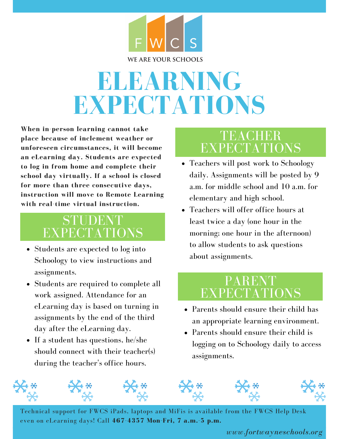

# **ELEARNING EXPECTATIONS**

**When in-person learning cannot take place because of inclement weather or unforeseen circumstances, it will become an eLearning day. Students are expected to log in from home and complete their school day virtually. If a school is closed for more than three consecutive days, instruction will move to Remote Learning with real-time virtual instruction.**

## STUDENT EXPECTATIONS

- Students are expected to log into Schoology to view instructions and assignments.
- Students are required to complete all work assigned. Attendance for an eLearning day is based on turning in assignments by the end of the third day after the eLearning day.
- If a student has questions, he/she should connect with their teacher(s) during the teacher's office hours.

### TEACHER EXPECTATIONS

- Teachers will post work to Schoology daily. Assignments will be posted by 9 a.m. for middle school and 10 a.m. for elementary and high school.
- Teachers will offer office hours at least twice a day (one hour in the morning; one hour in the afternoon) to allow students to ask questions about assignments.

#### PARENT EXPECTATIONS

- Parents should ensure their child has an appropriate learning environment.
- Parents should ensure their child is logging on to Schoology daily to access assignments.



Technical support for FWCS iPads, laptops and MiFis is available from the FWCS Help Desk even on eLearning days! Call **467-4357 Mon-Fri, 7 a.m.-5 p.m.**

#### *www.fortwayneschools.org*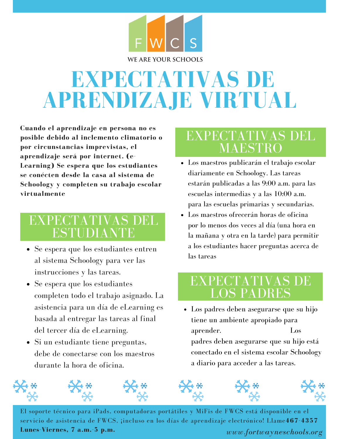

## **EXPECTATIVAS DE APRENDIZAJE VIRTUAL**

**Cuando el aprendizaje en persona no es posible debido al inclemento climatorio o por circunstancias imprevistas, el aprendizaje será por internet. (e-Learning) Se espera que los estudiantes se conécten desde la casa al sistema de Schoology y completen su trabajo escolar virtualmente**

### EXPECTATIVAS DEL ESTUDIANTE

- Se espera que los estudiantes entren al sistema Schoology para ver las instrucciones y las tareas.
- Se espera que los estudiantes completen todo el trabajo asignado. La asistencia para un día de eLearning es basada al entregar las tareas al final del tercer día de eLearning.
- Si un estudiante tiene preguntas, debe de conectarse con los maestros durante la hora de oficina.

### EXPECTATIVAS DEL MAESTRO

- Los maestros publicarán el trabajo escolar diariamente en Schoology. Las tareas estarán publicadas a las 9:00 a.m. para las escuelas intermedias y a las 10:00 a.m. para las escuelas primarias y secundarias.
- Los maestros ofrecerán horas de oficina por lo menos dos veces al día (una hora en la mañana y otra en la tarde) para permitir a los estudiantes hacer preguntas acerca de las tareas

#### EXPECTATIVAS DE LOS PADRES

Los padres deben asegurarse que su hijo tiene un ambiente apropiado para aprender. Los padres deben asegurarse que su hijo está conectado en el sistema escolar Schoology a diario para acceder a las tareas.



*www.fortwayneschools.org* El soporte técnico para iPads, computadoras portátiles y MiFis de FWCS está disponible en el servicio de asistencia de FWCS, ¡incluso en los días de aprendizaje electrónico! Llame**467-4357 Lunes-Viernes, 7 a.m.-5 p.m.**